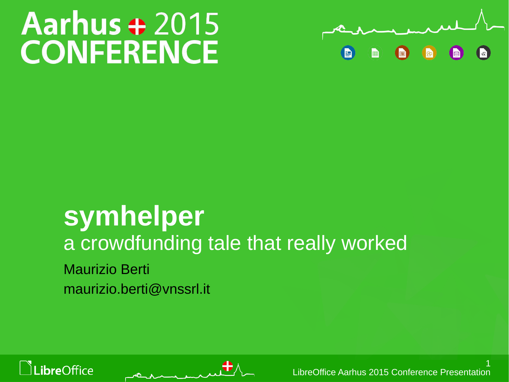# Aarhus + 2015 **CONFERENCE**



#### **symhelper** a crowdfunding tale that really worked Maurizio Berti [maurizio.berti@vnssrl.it](mailto:maurizio.berti@vnssrl.it)



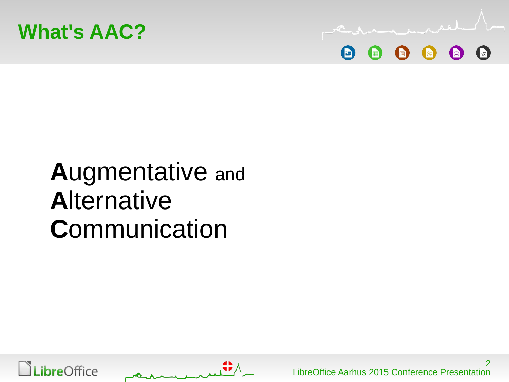

 $\sqrt{x}$ 圃 信

## **A**ugmentative and **A**lternative **C**ommunication



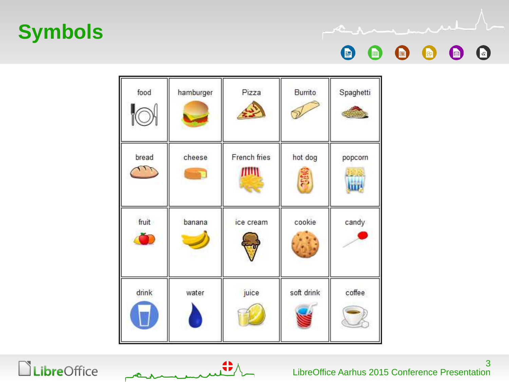#### **Symbols**

| food       | hamburger | Pizza                 | Burrito    | Spaghetti          |
|------------|-----------|-----------------------|------------|--------------------|
| bread<br>S | cheese    | French fries<br>///// | hot dog    | popcorn<br>المحافظ |
| fruit      | banana    | ice cream             | cookie     | candy              |
| drink      | water     | juice                 | soft drink | coffee             |



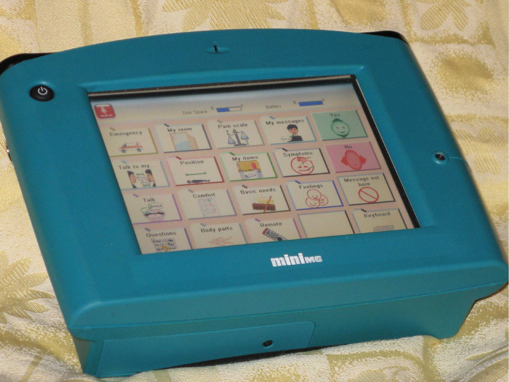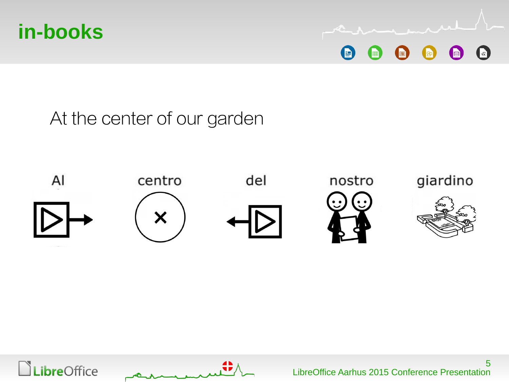

 $\sqrt{x}$ E le

At the center of our garden





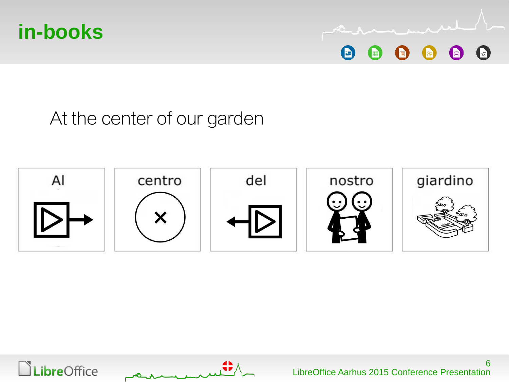

 $\sqrt{x}$ 囲 E

At the center of our garden





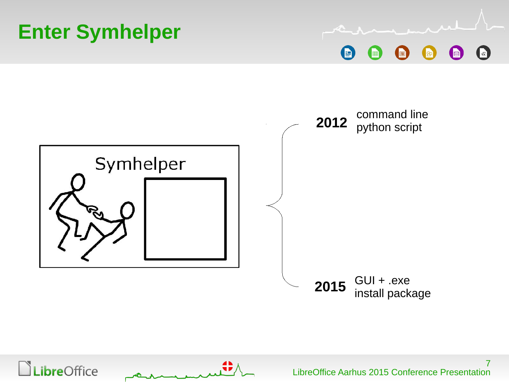

**LibreOffice**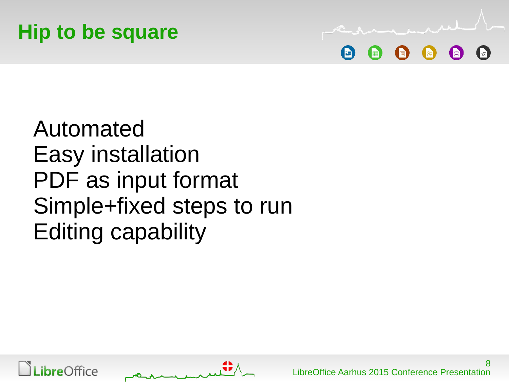Automated Easy installation PDF as input format Simple+fixed steps to run Editing capability



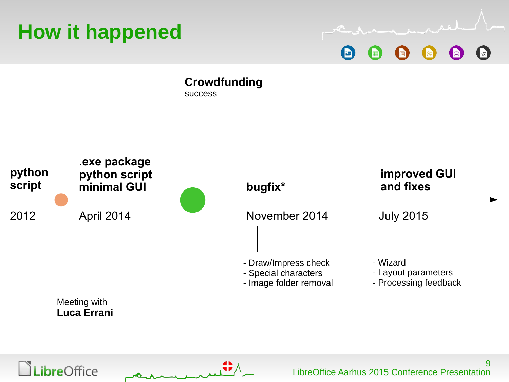#### **How it happened**



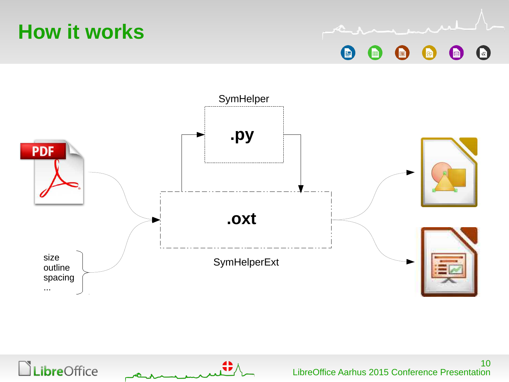

**LibreOffice**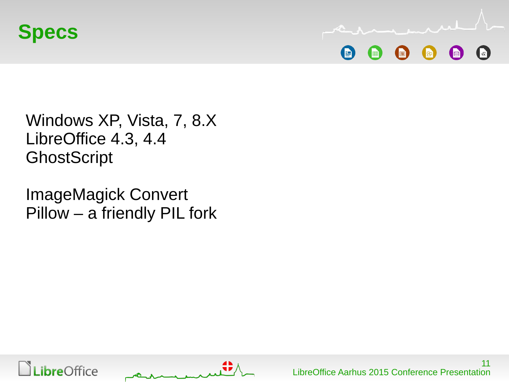

Windows XP, Vista, 7, 8.X LibreOffice 4.3, 4.4 **GhostScript** 

ImageMagick Convert Pillow – a friendly PIL fork



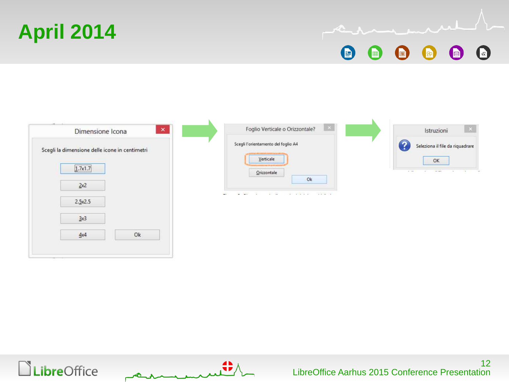

member  $\sqrt{x}$ 圍 同





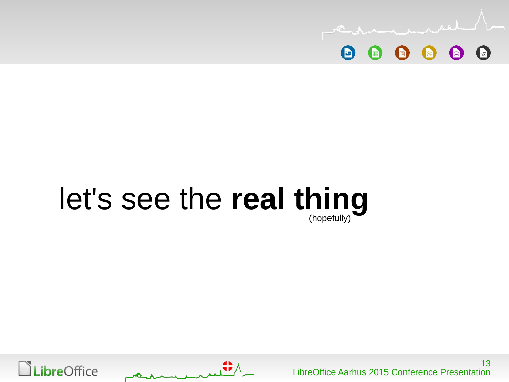

# let's see the real thing



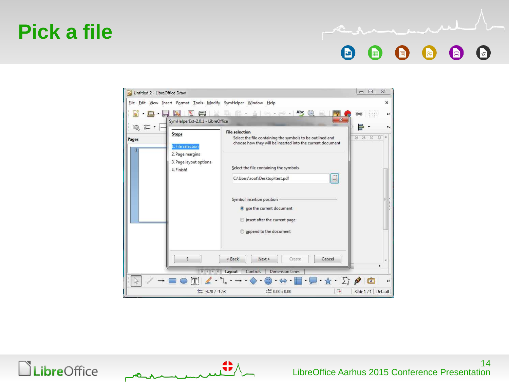#### **Pick a file**

Æ

 $\mathbb{R}^{n}$ 





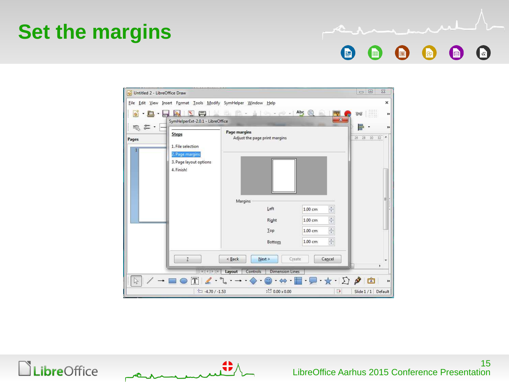#### **Set the margins**

 $\sqrt{x}$ 匪 屇

ment





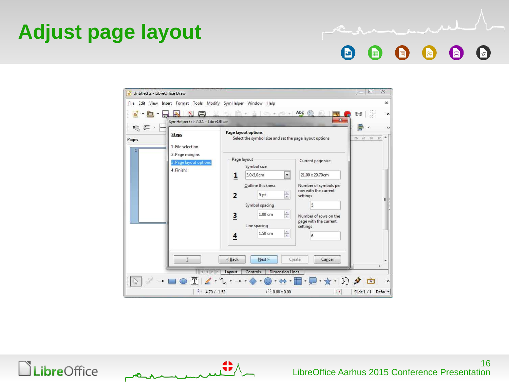#### **Adjust page layout**

 $\bigodot$ E  $\blacksquare$  $\left( \blacksquare \right)$ i bi R

| Ion Untitled 2 - LibreOffice Draw |                                                         |                                                                                                                                                                            |                                                                                                                                                 | $\Sigma$<br>$\boxed{\square}$<br>$\equiv$   |
|-----------------------------------|---------------------------------------------------------|----------------------------------------------------------------------------------------------------------------------------------------------------------------------------|-------------------------------------------------------------------------------------------------------------------------------------------------|---------------------------------------------|
|                                   | SymHelperExt-2.0.1 - LibreOffice                        | File Edit View Insert Format Tools Modify SymHelper Window Help                                                                                                            | Abc<br>$(t_0)$<br>×                                                                                                                             | ×<br>嬖<br>$\rightarrow$                     |
| ಕನ<br>Pages                       | <b>Steps</b><br>1. File selection                       | Page layout options<br>Select the symbol size and set the page layout options                                                                                              |                                                                                                                                                 | $\rightarrow$<br>۸<br>$26 = 28$<br>30<br>32 |
|                                   | 2. Page margins<br>3. Page layout options<br>4. Finish! | Page layout<br>Symbol size                                                                                                                                                 | Current page size                                                                                                                               |                                             |
|                                   |                                                         | 3,0x3,0cm<br>$\overline{\phantom{a}}$<br>1<br><b>Outline thickness</b><br>$\frac{1}{x}$<br>5 pt<br>2<br>Symbol spacing<br>$\frac{1}{\tau}$<br>1.00 cm<br>3<br>Line spacing | 21.00 x 29.70cm<br>Number of symbols per<br>row with the current<br>settings<br>5<br>Number of rows on the<br>gage with the current<br>settings | Ξ                                           |
|                                   | Ï                                                       | $\frac{\star}{\tau}$<br>1.50 cm<br>4<br>< Back<br>Next >                                                                                                                   | 6<br>Cancel<br>Create                                                                                                                           |                                             |
|                                   | $  \mathcal{H}   \le   \mathcal{V}  $                   | <b>Dimension Lines</b><br>Controls<br>Layout                                                                                                                               | $\blacksquare \cdot \Box \cdot \star \cdot \Box$                                                                                                | A                                           |
|                                   | $\pm 1 - 4.70 / -1.53$                                  | : 1 0.00 x 0.00                                                                                                                                                            | ⊺∗                                                                                                                                              | »<br>$S$ lide $1/1$<br>Default              |



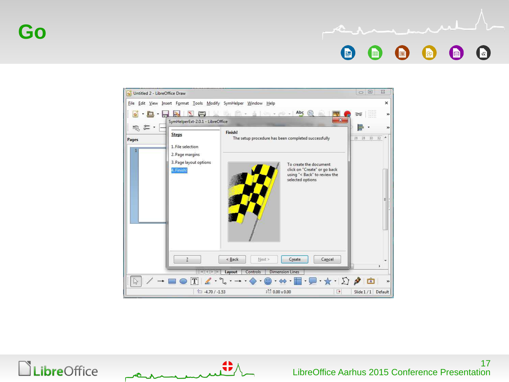**Go**

 $\mathbb{R}^{n \times n}$  $\sqrt{x}$ 匪 匾





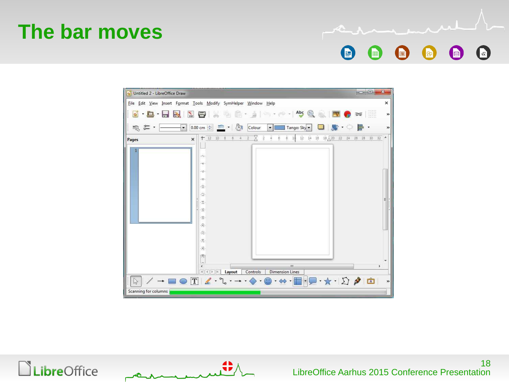#### **The bar moves**

 $\begin{array}{|c|c|c|c|c|}\hline \multicolumn{1}{|c|}{\quad \ \ &\multicolumn{1}{|c|}{\quad \ \ &\multicolumn{1}{|c|}{\quad \ \ &\multicolumn{1}{|c|}{\quad \ \ &\multicolumn{1}{|c|}{\quad \ \ }\\ \hline \multicolumn{1}{|c|}{\quad \ \ &\multicolumn{1}{|c|}{\quad \ \ &\multicolumn{1}{|c|}{\quad \ \ }\\ \hline \multicolumn{1}{|c|}{\quad \ \ &\multicolumn{1}{|c|}{\quad \ \ &\multicolumn{1}{|c|}{\quad$ cal Untitled 2 - LibreOffice Draw Eile Edit View Insert Format Tools Modify SymHelper Window Help  $\times$ 8 B B &  $|\mathbf{N}|\mathbf{S}|\times$  and  $\mathbf{R}\cdot\mathbf{S}$  . And  $\mathbf{S}\cdot\mathbf{S}$  $Abc$  $+111$ 弹 »  $-$  0.00 cm  $\neq$   $\geq$   $\cdot$  2 Colour 最 二、  $\blacktriangleright$  Tango: Sky  $\blacktriangleright$ »  $\times$   $+$  12 10 8  $12$   $14$   $16$   $18\sqrt{20}$  $22 24 26 28 30 32$  $\delta$  $6^{\circ}$  $4 -2$ -2 10 Pages . ir  $-00$  $-9$  $\sim$   $\Delta$  $\frac{1}{2}$  $-\underline{\omega}$  $-\underline{\infty}$  $-8$  $\mathbb{R}$  $-\overline{\mathcal{R}}$  $-89$ FRE  $\frac{1}{4}$ [H | + | F | Layout | Controls | Dimension Lines  $\blacksquare$  $\bullet$  it  $\prime$   $\rightarrow$  $\Box$  $\mathbb{Z}$  $\cdot \bigcirc \cdot \Leftrightarrow \cdot$ 19 » Scanning for columns





- envel

空

h

E

 $\sqrt{\mathbf{x}}$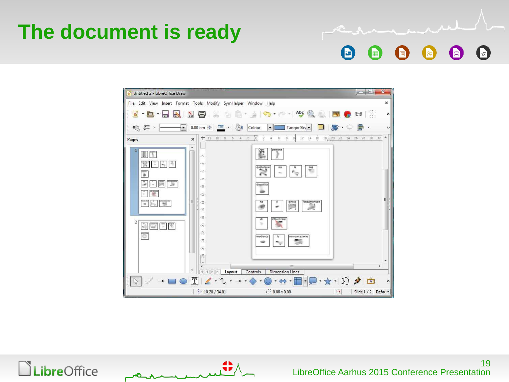#### **The document is ready**







圍

同

 $\sqrt{x}$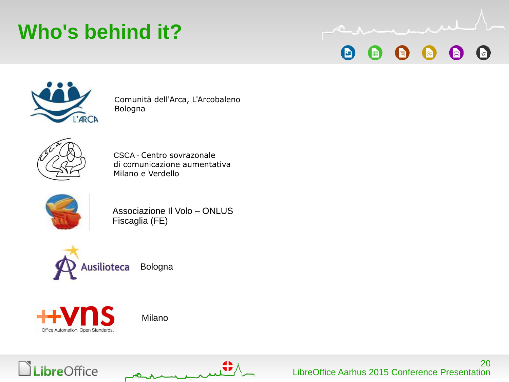#### **Who's behind it?**





Comunità dell'Arca, L'Arcobaleno Bologna



CSCA - Centro sovrazonale di comunicazione aumentativa Milano e Verdello



Associazione Il Volo – ONLUS Fiscaglia (FE)





Milano



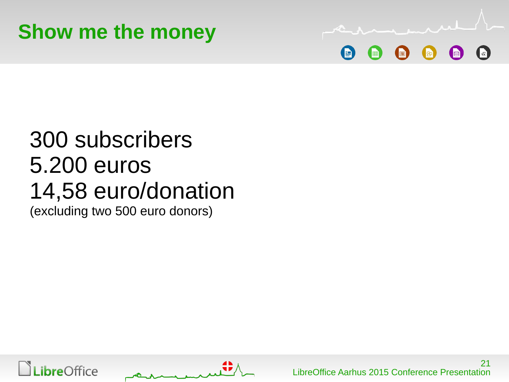#### **Show me the money**



#### 300 subscribers 5.200 euros 14,58 euro/donation (excluding two 500 euro donors)



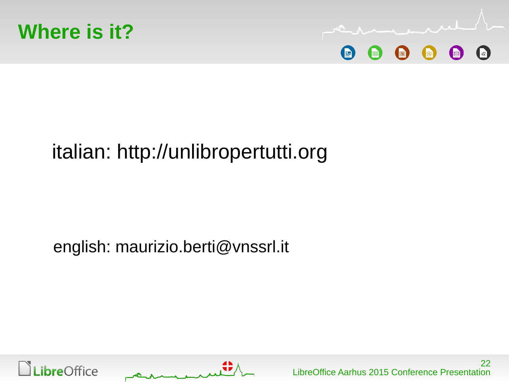

 $\sqrt{x}$ 

#### italian: http://unlibropertutti.org

english: maurizio.berti@vnssrl.it





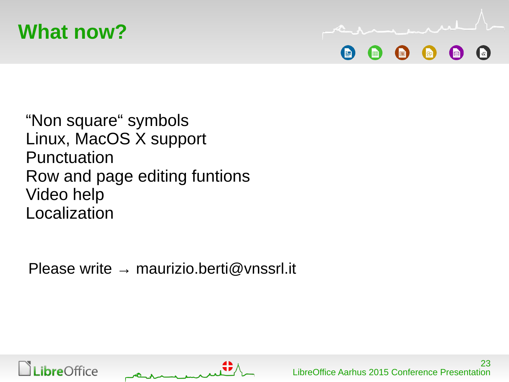

"Non square" symbols Linux, MacOS X support Punctuation Row and page editing funtions Video help Localization

Please write  $\rightarrow$  maurizio.berti@vnssrl.it



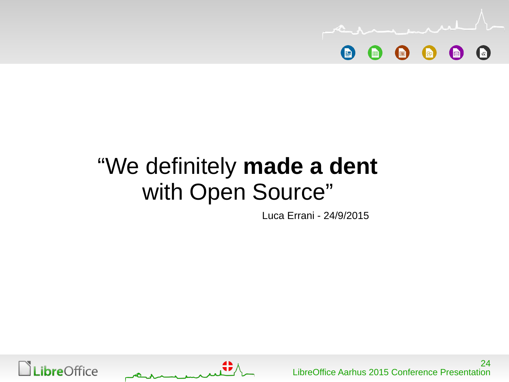

### "We definitely **made a dent** with Open Source"

Luca Errani - 24/9/2015